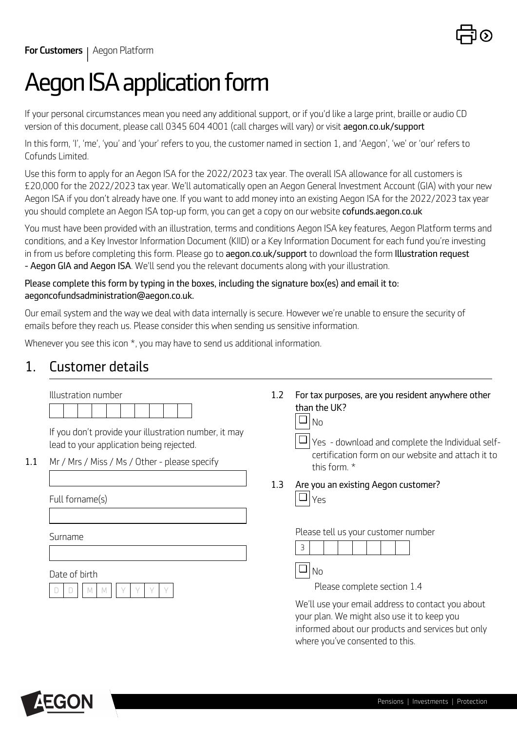

# *Aegon ISA application form*

*If your personal circumstances mean you need any additional support, or if you'd like a large print, braille or audio CD version of this document, please call 0345 604 4001 (call charges will vary) or visit <aegon.co.uk/support>* 

*In this form, 'I', 'me', 'you' and 'your' refers to you, the customer named in section 1, and 'Aegon', 'we' or 'our' refers to Cofunds Limited.* 

*Use this form to apply for an Aegon ISA for the 2022/2023 tax year. The overall ISA allowance for all customers is £20,000 for the 2022/2023 tax year. We'll automatically open an Aegon General Investment Account (GIA) with your new Aegon ISA if you don't already have one. If you want to add money into an existing Aegon ISA for the 2022/2023 tax year you should complete an Aegon ISA top-up form, you can get a copy on our website <cofunds.aegon.co.uk>*

*You must have been provided with an illustration, terms and conditions Aegon ISA key features, Aegon Platform terms and conditions, and a Key Investor Information Document (KIID) or a Key Information Document for each fund you're investing in from us before completing this form. Please go to <aegon.co.uk/support> to download the form Illustration request - Aegon GIA and Aegon ISA. We'll send you the relevant documents along with your illustration.*

### *Please complete this form by typing in the boxes, including the signature box(es) and email it to: aegoncofundsadministration@aegon.co.uk.*

*Our email system and the way we deal with data internally is secure. However we're unable to ensure the security of emails before they reach us. Please consider this when sending us sensitive information.*

*Whenever you see this icon \*, you may have to send us additional information.*

## *1. Customer details*

|     | Illustration number                                                                               | 1.2 | For tax purposes, are you resident anywhere other                                                                                                                                        |  |
|-----|---------------------------------------------------------------------------------------------------|-----|------------------------------------------------------------------------------------------------------------------------------------------------------------------------------------------|--|
|     |                                                                                                   |     | than the UK?<br>❏<br><b>No</b>                                                                                                                                                           |  |
|     | If you don't provide your illustration number, it may<br>lead to your application being rejected. |     | Yes - download and complete the Individual self-                                                                                                                                         |  |
| 1.1 | Mr / Mrs / Miss / Ms / Other - please specify                                                     |     | certification form on our website and attach it to<br>this form. *                                                                                                                       |  |
|     |                                                                                                   | 1.3 | Are you an existing Aegon customer?<br>❏                                                                                                                                                 |  |
|     | Full forname(s)                                                                                   |     | Yes                                                                                                                                                                                      |  |
|     | Surname                                                                                           |     | Please tell us your customer number<br>3                                                                                                                                                 |  |
|     | Date of birth                                                                                     |     | ❏<br>N <sub>o</sub>                                                                                                                                                                      |  |
|     |                                                                                                   |     | Please complete section 1.4                                                                                                                                                              |  |
|     |                                                                                                   |     | We'll use your email address to contact you about<br>your plan. We might also use it to keep you<br>informed about our products and services but only<br>where you've consented to this. |  |

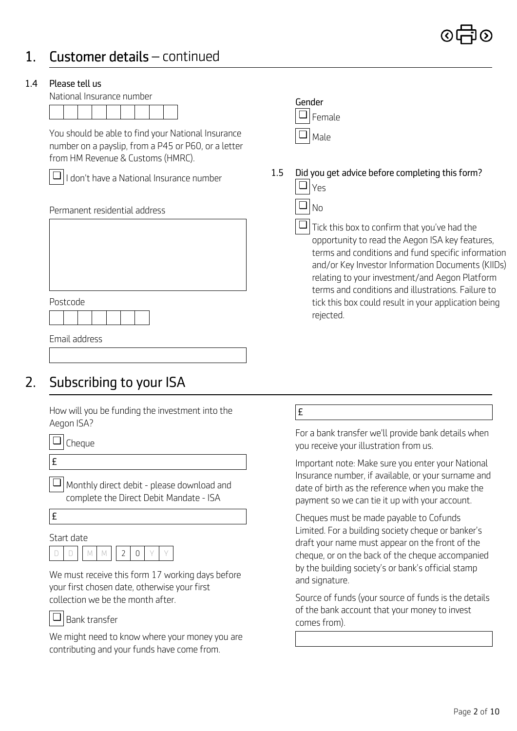## *1. Customer details – continued*

### *1.4 Please tell us*

*Gender National Insurance number*



*You should be able to find your National Insurance number on a payslip, from a P45 or P60, or a letter from HM Revenue & Customs (HMRC).*



*I don't have a National Insurance number* ❏

| i itidt duul ess |
|------------------|
|                  |
|                  |
|                  |
|                  |
|                  |
|                  |
|                  |
|                  |

*Email address*

*Postcode*

## *2. Subscribing to your ISA*

*How will you be funding the investment into the Aegon ISA?*

*Monthly direct debit - please download and* ❏ *complete the Direct Debit Mandate - ISA*

*£* 

*Start date*

|  |  | 17 I D |  |  |
|--|--|--------|--|--|
|  |  |        |  |  |

*We must receive this form 17 working days before your first chosen date, otherwise your first collection we be the month after.*

### *Bank transfer* ❏

*We might need to know where your money you are contributing and your funds have come from.*



*No*

❏

*1.5 Did you get advice before completing this form? Yes* ❏

> *Tick this box to confirm that you've had the* ❏ *opportunity to read the Aegon ISA key features, terms and conditions and fund specific information and/or Key Investor Information Documents (KIIDs) relating to your investment/and Aegon Platform terms and conditions and illustrations. Failure to tick this box could result in your application being rejected.*

*£* 

*For a bank transfer we'll provide bank details when you receive your illustration from us.*

*£ Important note: Make sure you enter your National Insurance number, if available, or your surname and date of birth as the reference when you make the payment so we can tie it up with your account.*

> *Cheques must be made payable to Cofunds Limited. For a building society cheque or banker's draft your name must appear on the front of the cheque, or on the back of the cheque accompanied by the building society's or bank's official stamp and signature.*

> *Source of funds (your source of funds is the details of the bank account that your money to invest comes from).*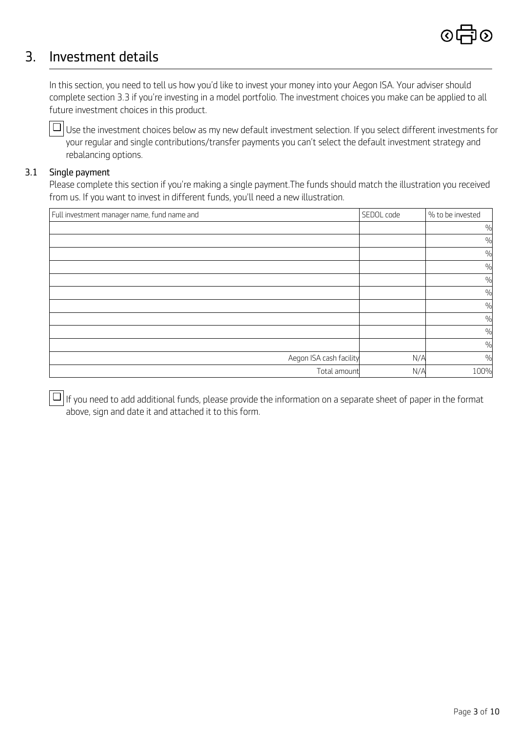

## *3. Investment details*

In this section, you need to tell us how you'd like to invest your money into your Aegon ISA. Your adviser should *complete section 3.3 if you're investing in a model portfolio. The investment choices you make can be applied to all future investment choices in this product.*

*Use the investment choices below as my new default investment selection. If you select different investments for* ❏ *your regular and single contributions/transfer payments you can't select the default investment strategy and rebalancing options.*

### *3.1 Single payment*

*Please complete this section if you're making a single payment.The funds should match the illustration you received from us. If you want to invest in different funds, you'll need a new illustration.*

| Full investment manager name, fund name and | SEDOL code | % to be invested |
|---------------------------------------------|------------|------------------|
|                                             |            | $\frac{0}{0}$    |
|                                             |            | $\frac{0}{0}$    |
|                                             |            | $\frac{0}{0}$    |
|                                             |            | $\frac{0}{0}$    |
|                                             |            | $\%$             |
|                                             |            | %                |
|                                             |            | $\frac{0}{0}$    |
|                                             |            | $\frac{0}{0}$    |
|                                             |            | $\frac{0}{0}$    |
|                                             |            | $\%$             |
| Aegon ISA cash facility                     | N/A        | $\frac{0}{0}$    |
| Total amount                                | N/A        | 100%             |

*If you need to add additional funds, please provide the information on a separate sheet of paper in the format* ❏*above, sign and date it and attached it to this form.*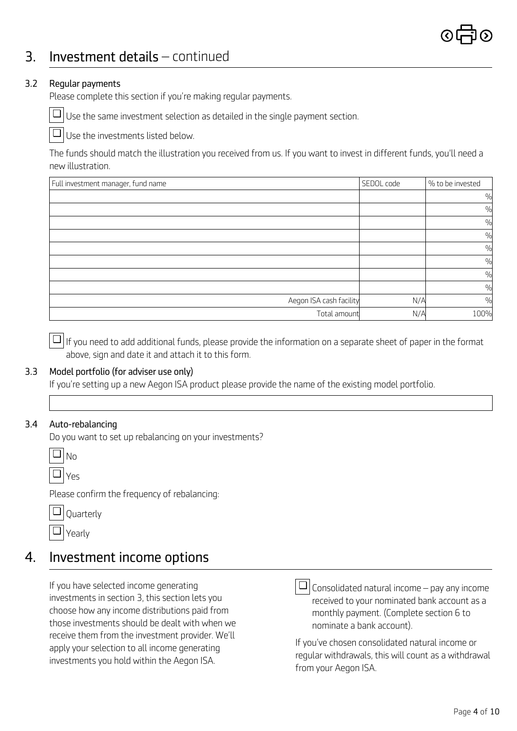## *3. Investment details – continued*

### *3.2 Regular payments*

*Please complete this section if you're making regular payments.*

*Use the same investment selection as detailed in the single payment section.*  ❏

*Use the investments listed below.*  ❏

*The funds should match the illustration you received from us. If you want to invest in different funds, you'll need a new illustration.*

| Full investment manager, fund name | SEDOL code | % to be invested |
|------------------------------------|------------|------------------|
|                                    |            | %                |
|                                    |            | %                |
|                                    |            | $\frac{0}{0}$    |
|                                    |            | %                |
|                                    |            | %                |
|                                    |            | $\frac{0}{0}$    |
|                                    |            | %                |
|                                    |            | %                |
| Aegon ISA cash facility            | N/A        | %                |
| Total amount                       | N/A        | 100%             |

*If you need to add additional funds, please provide the information on a separate sheet of paper in the format* ❏ *above, sign and date it and attach it to this form.* 

### *3.3 Model portfolio (for adviser use only)*

*If you're setting up a new Aegon ISA product please provide the name of the existing model portfolio.*

### *3.4 Auto-rebalancing*

*Do you want to set up rebalancing on your investments?*

*Yes* ❏

*Please confirm the frequency of rebalancing:*

| $\Box$ Quarterly |
|------------------|
|                  |
|                  |

*Yearly*  ❏

## *4. Investment income options*

*If you have selected income generating investments in section 3, this section lets you choose how any income distributions paid from those investments should be dealt with when we receive them from the investment provider. We'll apply your selection to all income generating investments you hold within the Aegon ISA.* 



*Consolidated natural income – pay any income* ❏*received to your nominated bank account as a monthly payment. (Complete section 6 to nominate a bank account).*

*If you've chosen consolidated natural income or regular withdrawals, this will count as a withdrawal from your Aegon ISA.*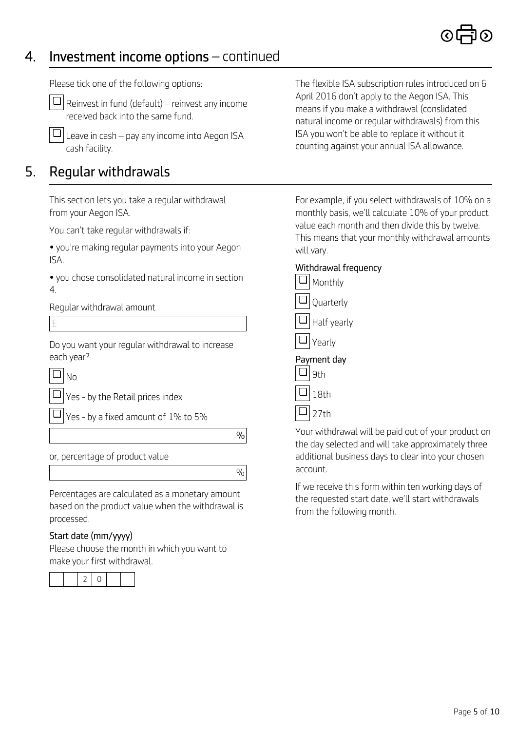## *4. Investment income options – continued*

*Please tick one of the following options:*

*Reinvest in fund (default) – reinvest any income received back into the same fund.* ❏

*Leave in cash – pay any income into Aegon ISA cash facility.*  ❏

## *5. Regular withdrawals*

*This section lets you take a regular withdrawal from your Aegon ISA.*

*You can't take regular withdrawals if:*

*• you're making regular payments into your Aegon ISA.*

 $\Box$  Yes - by a fixed amount of 1% to 5%

*or, percentage of product value* 

*Percentages are calculated as a monetary amount based on the product value when the withdrawal is processed.*

### *Start date (mm/yyyy)*

*Please choose the month in which you want to make your first withdrawal.*

|--|

*The flexible ISA subscription rules introduced on 6 April 2016 don't apply to the Aegon ISA. This means if you make a withdrawal (conslidated natural income or regular withdrawals) from this ISA you won't be able to replace it without it counting against your annual ISA allowance.*

*For example, if you select withdrawals of 10% on a monthly basis, we'll calculate 10% of your product value each month and then divide this by twelve. This means that your monthly withdrawal amounts will vary.*

| SA.                                              | Withdrawal frequency |
|--------------------------------------------------|----------------------|
| you chose consolidated natural income in section | Monthly              |
| Regular withdrawal amount                        | Quarterly            |
|                                                  | Half yearly          |
| Do you want your regular withdrawal to increase  | Yearly               |
| each year?                                       | Payment day          |
| $\Box _{\rm No}$                                 | 9th                  |
| $\Box$ $\vert$ Yes - by the Retail prices index  | 18th                 |

*27th* ❏

*%*

*%*

*Your withdrawal will be paid out of your product on the day selected and will take approximately three additional business days to clear into your chosen account.*

*If we receive this form within ten working days of the requested start date, we'll start withdrawals from the following month.*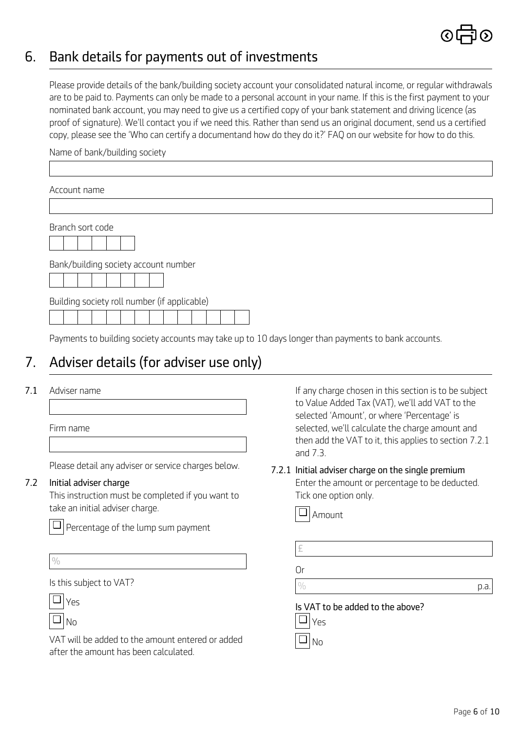

## *6. Bank details for payments out of investments*

*Please provide details of the bank/building society account your consolidated natural income, or regular withdrawals are to be paid to. Payments can only be made to a personal account in your name. If this is the first payment to your nominated bank account, you may need to give us a certified copy of your bank statement and driving licence (as proof of signature). We'll contact you if we need this. Rather than send us an original document, send us a certified copy, please see the 'Who can certify a documentand how do they do it?' FAQ on our website for how to do this.*

*Name of bank/building society* 

| Account name                                 |  |
|----------------------------------------------|--|
|                                              |  |
| Branch sort code                             |  |
| Bank/building society account number         |  |
| Building society roll number (if applicable) |  |

*Payments to building society accounts may take up to 10 days longer than payments to bank accounts.*

## *7. Adviser details (for adviser use only)*

*Firm name* 

*Please detail any adviser or service charges below.*

### *7.2 Initial adviser charge*

*This instruction must be completed if you want to take an initial adviser charge.*

*Percentage of the lump sum payment*  ❏

| ٠ |   |   |  |
|---|---|---|--|
|   |   | ı |  |
|   | I | ۹ |  |
|   |   | ٠ |  |
|   | w |   |  |

*Is this subject to VAT?*

*Yes* ❏

> *No* ❏

*VAT will be added to the amount entered or added after the amount has been calculated.* 

**7.1** Adviser name **If any charge chosen in this section is to be subject** *to Value Added Tax (VAT), we'll add VAT to the selected 'Amount', or where 'Percentage' is selected, we'll calculate the charge amount and then add the VAT to it, this applies to section 7.2.1 and 7.3.*

## *7.2.1 Initial adviser charge on the single premium*

*Enter the amount or percentage to be deducted. Tick one option only.* 



| £                                       |     |
|-----------------------------------------|-----|
| Or                                      |     |
|                                         | p.a |
| Is VAT to be added to the above?<br>Yes |     |
|                                         |     |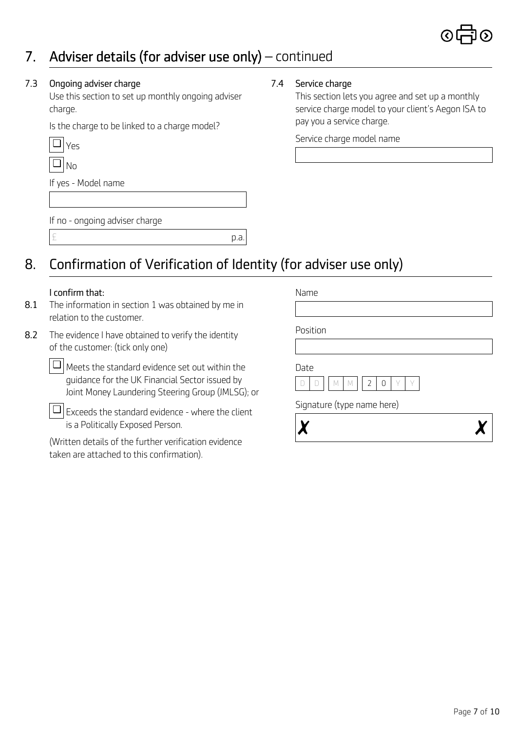## *7. Adviser details (for adviser use only) – continued*

### *7.3 Ongoing adviser charge*

*Use this section to set up monthly ongoing adviser charge.*

*Is the charge to be linked to a charge model?* 

| S |
|---|
|   |

*If yes - Model name* 

*If no - ongoing adviser charge*

*£ p.a.*

## *8. Confirmation of Verification of Identity (for adviser use only)*

### *I confirm that: Name*

- *8.1 The information in section 1 was obtained by me in relation to the customer.*
- *Position 8.2 The evidence I have obtained to verify the identity of the customer: (tick only one)*

*Meets the standard evidence set out within the* ❏ *guidance for the UK Financial Sector issued by Joint Money Laundering Steering Group (JMLSG); or*

*Exceeds the standard evidence - where the client* ❏*is a Politically Exposed Person.*

*(Written details of the further verification evidence taken are attached to this confirmation).* 

*7.4 Service charge* 

*This section lets you agree and set up a monthly service charge model to your client's Aegon ISA to pay you a service charge.* 

*Service charge model name* 

*Date*



*Signature (type name here)*

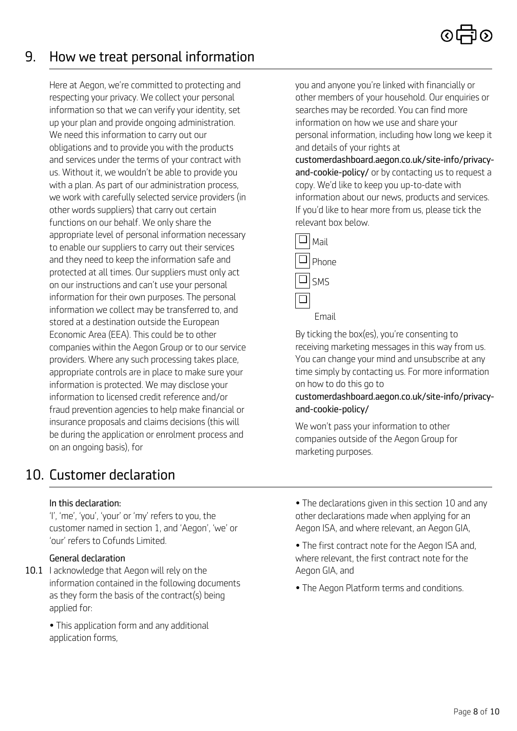## *9. How we treat personal information*

*Here at Aegon, we're committed to protecting and respecting your privacy. We collect your personal information so that we can verify your identity, set up your plan and provide ongoing administration. We need this information to carry out our obligations and to provide you with the products and services under the terms of your contract with us. Without it, we wouldn't be able to provide you with a plan. As part of our administration process, we work with carefully selected service providers (in other words suppliers) that carry out certain functions on our behalf. We only share the appropriate level of personal information necessary to enable our suppliers to carry out their services and they need to keep the information safe and protected at all times. Our suppliers must only act on our instructions and can't use your personal information for their own purposes. The personal information we collect may be transferred to, and stored at a destination outside the European Economic Area (EEA). This could be to other companies within the Aegon Group or to our service providers. Where any such processing takes place, appropriate controls are in place to make sure your information is protected. We may disclose your information to licensed credit reference and/or fraud prevention agencies to help make financial or insurance proposals and claims decisions (this will be during the application or enrolment process and on an ongoing basis), for* 

## *10. Customer declaration*

### *In this declaration:*

*'I', 'me', 'you', 'your' or 'my' refers to you, the customer named in section 1, and 'Aegon', 'we' or 'our' refers to Cofunds Limited.* 

### *General declaration*

*10.1 I acknowledge that Aegon will rely on the Aegon GIA, and information contained in the following documents as they form the basis of the contract(s) being applied for:*

*• This application form and any additional application forms,*

*you and anyone you're linked with financially or other members of your household. Our enquiries or searches may be recorded. You can find more information on how we use and share your personal information, including how long we keep it and details of your rights at* 

*[customerdashboard.aegon.co.uk/site-info/privacy](customerdashboard.aegon.co.uk/site-info/privacy-and-cookie-policy/)and-cookie-policy/ or by contacting us to request a copy. We'd like to keep you up-to-date with information about our news, products and services. If you'd like to hear more from us, please tick the relevant box below.* 



*By ticking the box(es), you're consenting to receiving marketing messages in this way from us. You can change your mind and unsubscribe at any time simply by contacting us. For more information on how to do this go to* 

### *[customerdashboard.aegon.co.uk/site-info/privacy](customerdashboard.aegon.co.uk/site-info/privacy-and-cookie-policy/)and-cookie-policy/*

*We won't pass your information to other companies outside of the Aegon Group for marketing purposes.*

- *The declarations given in this section 10 and any other declarations made when applying for an Aegon ISA, and where relevant, an Aegon GIA,*
- *The first contract note for the Aegon ISA and, where relevant, the first contract note for the*
- *The Aegon Platform terms and conditions.*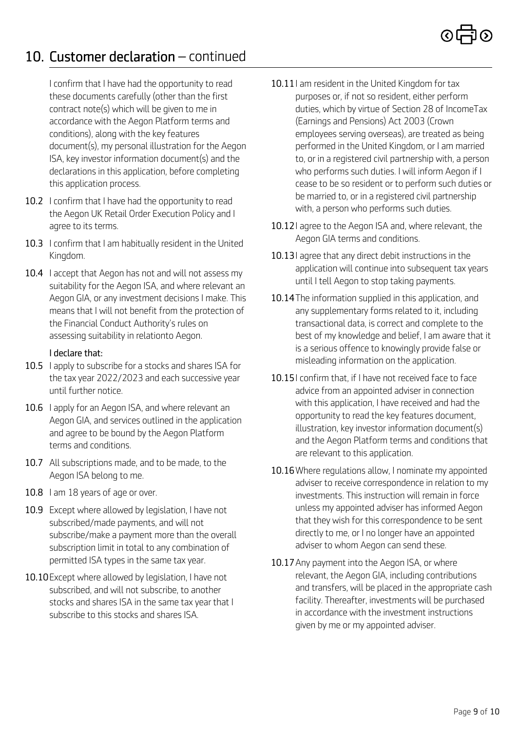## *10. Customer declaration – continued*

*I confirm that I have had the opportunity to read these documents carefully (other than the first contract note(s) which will be given to me in accordance with the Aegon Platform terms and conditions), along with the key features document(s), my personal illustration for the Aegon ISA, key investor information document(s) and the declarations in this application, before completing this application process.* 

- *10.2 I confirm that I have had the opportunity to read the Aegon UK Retail Order Execution Policy and I agree to its terms.*
- *10.3 I confirm that I am habitually resident in the United Kingdom.*
- *10.4 I accept that Aegon has not and will not assess my suitability for the Aegon ISA, and where relevant an Aegon GIA, or any investment decisions I make. This means that I will not benefit from the protection of the Financial Conduct Authority's rules on assessing suitability in relationto Aegon.*

### *I declare that:*

- *10.5 I apply to subscribe for a stocks and shares ISA for the tax year 2022/2023 and each successive year until further notice.*
- *10.6 I apply for an Aegon ISA, and where relevant an Aegon GIA, and services outlined in the application and agree to be bound by the Aegon Platform terms and conditions.*
- *10.7 All subscriptions made, and to be made, to the Aegon ISA belong to me.*
- *10.8 I am 18 years of age or over.*
- *10.9 Except where allowed by legislation, I have not subscribed/made payments, and will not subscribe/make a payment more than the overall subscription limit in total to any combination of permitted ISA types in the same tax year.*
- *10.10Except where allowed by legislation, I have not subscribed, and will not subscribe, to another stocks and shares ISA in the same tax year that I subscribe to this stocks and shares ISA.*
- *10.11I am resident in the United Kingdom for tax purposes or, if not so resident, either perform duties, which by virtue of Section 28 of IncomeTax (Earnings and Pensions) Act 2003 (Crown employees serving overseas), are treated as being performed in the United Kingdom, or I am married to, or in a registered civil partnership with, a person who performs such duties. I will inform Aegon if I cease to be so resident or to perform such duties or be married to, or in a registered civil partnership with, a person who performs such duties.*
- *10.12I agree to the Aegon ISA and, where relevant, the Aegon GIA terms and conditions.*
- *10.13I agree that any direct debit instructions in the application will continue into subsequent tax years until I tell Aegon to stop taking payments.*
- *10.14The information supplied in this application, and any supplementary forms related to it, including transactional data, is correct and complete to the best of my knowledge and belief, I am aware that it is a serious offence to knowingly provide false or misleading information on the application.*
- *10.15I confirm that, if I have not received face to face advice from an appointed adviser in connection with this application, I have received and had the opportunity to read the key features document, illustration, key investor information document(s) and the Aegon Platform terms and conditions that are relevant to this application.*
- *10.16Where regulations allow, I nominate my appointed adviser to receive correspondence in relation to my investments. This instruction will remain in force unless my appointed adviser has informed Aegon that they wish for this correspondence to be sent directly to me, or I no longer have an appointed adviser to whom Aegon can send these.*
- *10.17Any payment into the Aegon ISA, or where relevant, the Aegon GIA, including contributions and transfers, will be placed in the appropriate cash facility. Thereafter, investments will be purchased in accordance with the investment instructions given by me or my appointed adviser.*